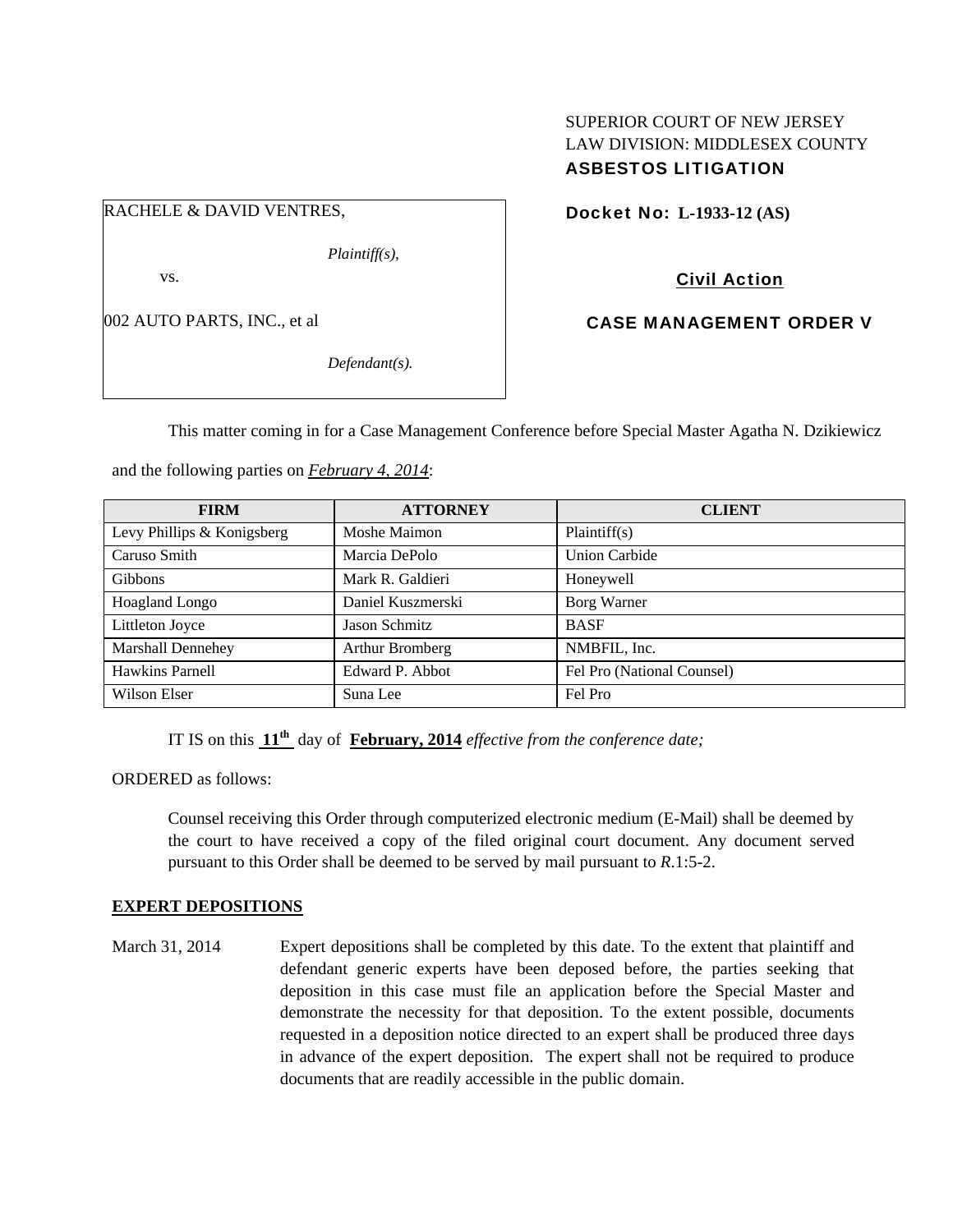## SUPERIOR COURT OF NEW JERSEY LAW DIVISION: MIDDLESEX COUNTY ASBESTOS LITIGATION

## RACHELE & DAVID VENTRES,

*Plaintiff(s),* 

vs.

002 AUTO PARTS, INC., et al

*Defendant(s).* 

Docket No: **L-1933-12 (AS)** 

Civil Action

CASE MANAGEMENT ORDER V

This matter coming in for a Case Management Conference before Special Master Agatha N. Dzikiewicz

and the following parties on *February 4, 2014*:

| <b>FIRM</b>                | <b>ATTORNEY</b>   | <b>CLIENT</b>              |
|----------------------------|-------------------|----------------------------|
| Levy Phillips & Konigsberg | Moshe Maimon      | Plaintiff(s)               |
| Caruso Smith               | Marcia DePolo     | <b>Union Carbide</b>       |
| <b>Gibbons</b>             | Mark R. Galdieri  | Honeywell                  |
| Hoagland Longo             | Daniel Kuszmerski | Borg Warner                |
| Littleton Joyce            | Jason Schmitz     | <b>BASF</b>                |
| Marshall Dennehey          | Arthur Bromberg   | NMBFIL, Inc.               |
| Hawkins Parnell            | Edward P. Abbot   | Fel Pro (National Counsel) |
| Wilson Elser               | Suna Lee          | Fel Pro                    |

IT IS on this **11th** day of **February, 2014** *effective from the conference date;*

ORDERED as follows:

Counsel receiving this Order through computerized electronic medium (E-Mail) shall be deemed by the court to have received a copy of the filed original court document. Any document served pursuant to this Order shall be deemed to be served by mail pursuant to *R*.1:5-2.

### **EXPERT DEPOSITIONS**

March 31, 2014 Expert depositions shall be completed by this date. To the extent that plaintiff and defendant generic experts have been deposed before, the parties seeking that deposition in this case must file an application before the Special Master and demonstrate the necessity for that deposition. To the extent possible, documents requested in a deposition notice directed to an expert shall be produced three days in advance of the expert deposition. The expert shall not be required to produce documents that are readily accessible in the public domain.